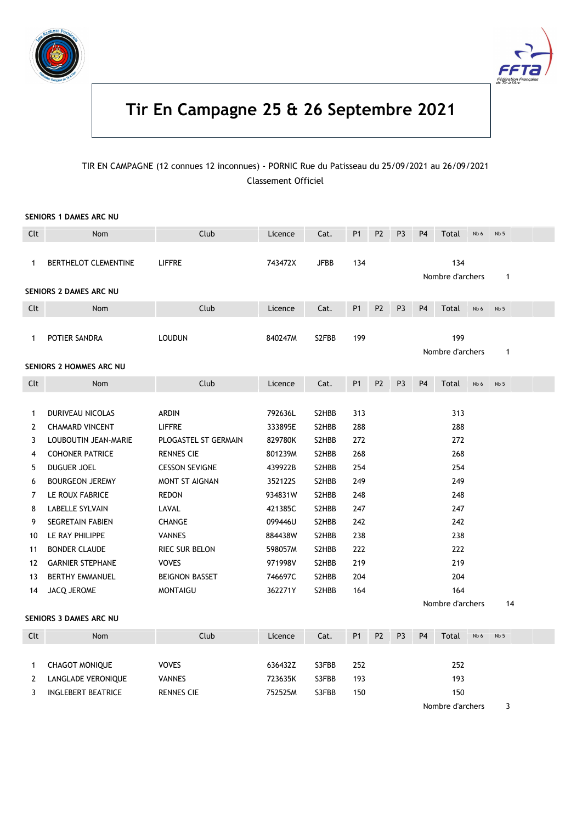



# Tir En Campagne 25 & 26 Septembre 2021

### TIR EN CAMPAGNE (12 connues 12 inconnues) - PORNIC Rue du Patisseau du 25/09/2021 au 26/09/2021 Classement Officiel

#### SENIORS 1 DAMES ARC NU

| Clt          | <b>Nom</b>                               | Club                  | Licence | Cat.        | <b>P1</b>      | <b>P2</b>      | P <sub>3</sub> | P <sub>4</sub> | Total                   | Nb 6 | Nb <sub>5</sub> |  |
|--------------|------------------------------------------|-----------------------|---------|-------------|----------------|----------------|----------------|----------------|-------------------------|------|-----------------|--|
| -1           | BERTHELOT CLEMENTINE                     | <b>LIFFRE</b>         | 743472X | <b>JFBB</b> | 134            |                |                |                | 134<br>Nombre d'archers |      | $\mathbf{1}$    |  |
|              | <b>SENIORS 2 DAMES ARC NU</b>            |                       |         |             |                |                |                |                |                         |      |                 |  |
| Clt          | Nom                                      | Club                  | Licence | Cat.        | P1             | P <sub>2</sub> | P <sub>3</sub> | P <sub>4</sub> | Total                   | Nb 6 | Nb <sub>5</sub> |  |
| $\mathbf{1}$ | POTIER SANDRA<br>SENIORS 2 HOMMES ARC NU | <b>LOUDUN</b>         | 840247M | S2FBB       | 199            |                |                |                | 199<br>Nombre d'archers |      | $\mathbf{1}$    |  |
|              |                                          |                       |         |             |                |                |                |                |                         |      |                 |  |
| Clt          | <b>Nom</b>                               | Club                  | Licence | Cat.        | <b>P1</b>      | <b>P2</b>      | P <sub>3</sub> | P <sub>4</sub> | Total                   | Nb 6 | Nb <sub>5</sub> |  |
| 1            | <b>DURIVEAU NICOLAS</b>                  | <b>ARDIN</b>          | 792636L | S2HBB       | 313            |                |                |                | 313                     |      |                 |  |
| 2            | <b>CHAMARD VINCENT</b>                   | <b>LIFFRE</b>         | 333895E | S2HBB       | 288            |                |                |                | 288                     |      |                 |  |
| 3            | LOUBOUTIN JEAN-MARIE                     | PLOGASTEL ST GERMAIN  | 829780K | S2HBB       | 272            |                |                |                | 272                     |      |                 |  |
| 4            | <b>COHONER PATRICE</b>                   | <b>RENNES CIE</b>     | 801239M | S2HBB       | 268            |                |                |                | 268                     |      |                 |  |
| 5            | <b>DUGUER JOEL</b>                       | <b>CESSON SEVIGNE</b> | 439922B | S2HBB       | 254            |                |                |                | 254                     |      |                 |  |
| 6            | <b>BOURGEON JEREMY</b>                   | MONT ST AIGNAN        | 3521225 | S2HBB       | 249            |                |                |                | 249                     |      |                 |  |
| 7            | LE ROUX FABRICE                          | <b>REDON</b>          | 934831W | S2HBB       | 248            |                |                |                | 248                     |      |                 |  |
| 8            | <b>LABELLE SYLVAIN</b>                   | LAVAL                 | 421385C | S2HBB       | 247            |                |                |                | 247                     |      |                 |  |
| 9            | <b>SEGRETAIN FABIEN</b>                  | CHANGE                | 099446U | S2HBB       | 242            |                |                |                | 242                     |      |                 |  |
| 10           | LE RAY PHILIPPE                          | <b>VANNES</b>         | 884438W | S2HBB       | 238            |                |                |                | 238                     |      |                 |  |
| 11           | <b>BONDER CLAUDE</b>                     | RIEC SUR BELON        | 598057M | S2HBB       | 222            |                |                |                | 222                     |      |                 |  |
| 12           | <b>GARNIER STEPHANE</b>                  | <b>VOVES</b>          | 971998V | S2HBB       | 219            |                |                |                | 219                     |      |                 |  |
| 13           | <b>BERTHY EMMANUEL</b>                   | <b>BEIGNON BASSET</b> | 746697C | S2HBB       | 204            |                |                |                | 204                     |      |                 |  |
| 14           | JACQ JEROME                              | <b>MONTAIGU</b>       | 362271Y | S2HBB       | 164            |                |                |                | 164                     |      |                 |  |
|              |                                          |                       |         |             |                |                |                |                | Nombre d'archers        |      | 14              |  |
|              | SENIORS 3 DAMES ARC NU                   |                       |         |             |                |                |                |                |                         |      |                 |  |
| Clt          | <b>Nom</b>                               | Club                  | Licence | Cat.        | P <sub>1</sub> | P <sub>2</sub> | P <sub>3</sub> | P <sub>4</sub> | Total                   | Nb 6 | Nb <sub>5</sub> |  |
|              |                                          |                       |         |             |                |                |                |                |                         |      |                 |  |

| ul           | <b>NOILL</b>          | <b>ClUD</b>       | Licence | Cdl.  | P.  | <b>PL</b> | - ۲۵ | - F4 | TULAL | <b>ND 6</b> | כ ND |  |
|--------------|-----------------------|-------------------|---------|-------|-----|-----------|------|------|-------|-------------|------|--|
|              |                       |                   |         |       |     |           |      |      |       |             |      |  |
|              | <b>CHAGOT MONIQUE</b> | <b>VOVES</b>      | 636432Z | S3FBB | 252 |           |      |      | 252   |             |      |  |
| $\mathbf{2}$ | LANGLADE VERONIQUE    | VANNES            | 723635K | S3FBB | 193 |           |      |      | 193   |             |      |  |
|              | INGLEBERT BEATRICE    | <b>RENNES CIE</b> | 752525M | S3FBB | 150 |           |      |      | 150   |             |      |  |
|              |                       |                   |         |       |     |           |      |      |       |             |      |  |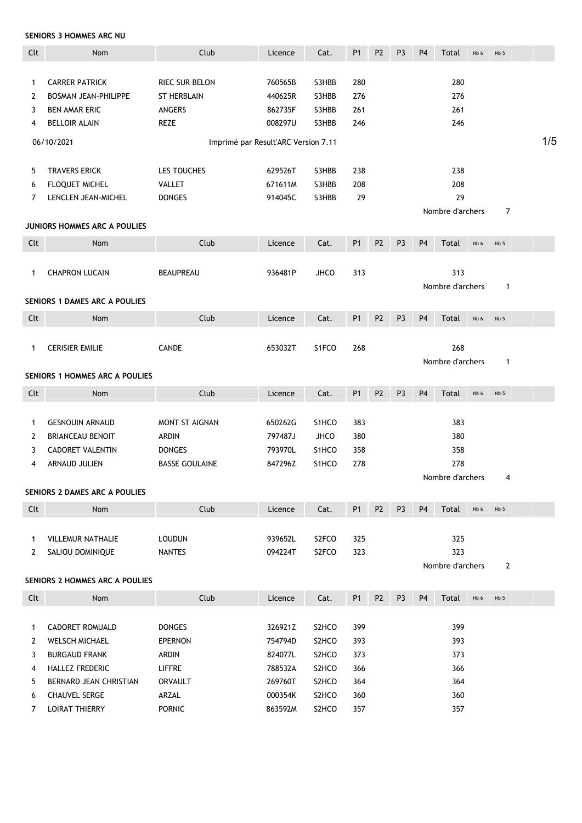SENIORS 3 HOMMES ARC NU

| Clt          | Nom                                 | Club                                | Licence | Cat.               | P <sub>1</sub> | P <sub>2</sub> | P <sub>3</sub> | P <sub>4</sub> | Total                  | Nb 6 | Nb <sub>5</sub> |     |
|--------------|-------------------------------------|-------------------------------------|---------|--------------------|----------------|----------------|----------------|----------------|------------------------|------|-----------------|-----|
|              |                                     |                                     |         |                    |                |                |                |                |                        |      |                 |     |
| 1            | <b>CARRER PATRICK</b>               | <b>RIEC SUR BELON</b>               | 760565B | S3HBB              | 280            |                |                |                | 280                    |      |                 |     |
| $\mathbf{2}$ | <b>BOSMAN JEAN-PHILIPPE</b>         | <b>ST HERBLAIN</b>                  | 440625R | S3HBB              | 276            |                |                |                | 276                    |      |                 |     |
| 3            | <b>BEN AMAR ERIC</b>                | <b>ANGERS</b>                       | 862735F | S3HBB              | 261            |                |                |                | 261                    |      |                 |     |
| 4            | <b>BELLOIR ALAIN</b>                | REZE                                | 008297U | S3HBB              | 246            |                |                |                | 246                    |      |                 |     |
|              | 06/10/2021                          | Imprimé par Result'ARC Version 7.11 |         |                    |                |                |                |                |                        |      |                 | 1/5 |
|              |                                     |                                     |         |                    |                |                |                |                |                        |      |                 |     |
| 5            | <b>TRAVERS ERICK</b>                | LES TOUCHES                         | 629526T | S3HBB              | 238            |                |                |                | 238                    |      |                 |     |
| 6            | FLOQUET MICHEL                      | <b>VALLET</b>                       | 671611M | S3HBB              | 208            |                |                |                | 208                    |      |                 |     |
| 7            | LENCLEN JEAN-MICHEL                 | <b>DONGES</b>                       | 914045C | S3HBB              | 29             |                |                |                | 29<br>Nombre d'archers |      | $\overline{7}$  |     |
|              | <b>JUNIORS HOMMES ARC A POULIES</b> |                                     |         |                    |                |                |                |                |                        |      |                 |     |
| Clt          | Nom                                 | Club                                | Licence | Cat.               | P1             | P <sub>2</sub> | P <sub>3</sub> | P <sub>4</sub> | Total                  | Nb 6 | Nb <sub>5</sub> |     |
|              |                                     |                                     |         |                    |                |                |                |                |                        |      |                 |     |
| 1            | <b>CHAPRON LUCAIN</b>               | <b>BEAUPREAU</b>                    | 936481P | <b>JHCO</b>        | 313            |                |                |                | 313                    |      |                 |     |
|              |                                     |                                     |         |                    |                |                |                |                | Nombre d'archers       |      | $\mathbf{1}$    |     |
|              | SENIORS 1 DAMES ARC A POULIES       |                                     |         |                    |                |                |                |                |                        |      |                 |     |
| Clt          | Nom                                 | Club                                | Licence | Cat.               | P1             | P <sub>2</sub> | P <sub>3</sub> | P <sub>4</sub> | Total                  | Nb 6 | Nb <sub>5</sub> |     |
|              |                                     |                                     |         |                    |                |                |                |                |                        |      |                 |     |
| 1            | <b>CERISIER EMILIE</b>              | <b>CANDE</b>                        | 653032T | S1FCO              | 268            |                |                |                | 268                    |      |                 |     |
|              |                                     |                                     |         |                    |                |                |                |                | Nombre d'archers       |      | $\mathbf{1}$    |     |
|              | SENIORS 1 HOMMES ARC A POULIES      |                                     |         |                    |                |                |                |                |                        |      |                 |     |
| Clt          | Nom                                 | Club                                | Licence | Cat.               | <b>P1</b>      | P <sub>2</sub> | P <sub>3</sub> | P <sub>4</sub> | Total                  | Nb 6 | Nb 5            |     |
|              |                                     |                                     |         |                    |                |                |                |                |                        |      |                 |     |
| 1            | <b>GESNOUIN ARNAUD</b>              | <b>MONT ST AIGNAN</b>               | 650262G | S1HCO              | 383            |                |                |                | 383                    |      |                 |     |
| 2            | <b>BRIANCEAU BENOIT</b>             | <b>ARDIN</b>                        | 797487J | <b>JHCO</b>        | 380            |                |                |                | 380                    |      |                 |     |
| 3            | <b>CADORET VALENTIN</b>             | <b>DONGES</b>                       | 793970L | S1HCO              | 358            |                |                |                | 358                    |      |                 |     |
| 4            | <b>ARNAUD JULIEN</b>                | <b>BASSE GOULAINE</b>               | 847296Z | S <sub>1</sub> HCO | 278            |                |                |                | 278                    |      |                 |     |
|              |                                     |                                     |         |                    |                |                |                |                | Nombre d'archers       |      | 4               |     |
|              | SENIORS 2 DAMES ARC A POULIES       |                                     |         |                    |                |                |                |                |                        |      |                 |     |
| Clt          | Nom                                 | Club                                | Licence | Cat.               | P <sub>1</sub> | P <sub>2</sub> | P <sub>3</sub> | P <sub>4</sub> | Total                  | Nb 6 | Nb <sub>5</sub> |     |
|              |                                     |                                     |         |                    |                |                |                |                |                        |      |                 |     |
| 1            | <b>VILLEMUR NATHALIE</b>            | <b>LOUDUN</b>                       | 939652L | S2FCO              | 325            |                |                |                | 325                    |      |                 |     |
| 2            | SALIOU DOMINIQUE                    | <b>NANTES</b>                       | 094224T | S2FCO              | 323            |                |                |                | 323                    |      |                 |     |
|              |                                     |                                     |         |                    |                |                |                |                | Nombre d'archers       |      | $\overline{2}$  |     |
|              | SENIORS 2 HOMMES ARC A POULIES      |                                     |         |                    |                |                |                |                |                        |      |                 |     |
| Clt          | Nom                                 | Club                                | Licence | Cat.               | P <sub>1</sub> | P <sub>2</sub> | P <sub>3</sub> | P <sub>4</sub> | Total                  | Nb 6 | Nb <sub>5</sub> |     |
|              |                                     |                                     |         |                    |                |                |                |                |                        |      |                 |     |
| 1            | CADORET ROMUALD                     | <b>DONGES</b>                       | 326921Z | S2HCO              | 399            |                |                |                | 399                    |      |                 |     |
| 2            | <b>WELSCH MICHAEL</b>               | <b>EPERNON</b>                      | 754794D | S2HCO              | 393            |                |                |                | 393                    |      |                 |     |
| 3            | <b>BURGAUD FRANK</b>                | <b>ARDIN</b>                        | 824077L | S2HCO              | 373            |                |                |                | 373                    |      |                 |     |
| 4            | HALLEZ FREDERIC                     | <b>LIFFRE</b>                       | 788532A | S2HCO              | 366            |                |                |                | 366                    |      |                 |     |
| 5            | BERNARD JEAN CHRISTIAN              | <b>ORVAULT</b>                      | 269760T | S2HCO              | 364            |                |                |                | 364                    |      |                 |     |
| 6            | <b>CHAUVEL SERGE</b>                | ARZAL                               | 000354K | S2HCO              | 360            |                |                |                | 360                    |      |                 |     |
| 7            | <b>LOIRAT THIERRY</b>               | <b>PORNIC</b>                       | 863592M | S2HCO              | 357            |                |                |                | 357                    |      |                 |     |
|              |                                     |                                     |         |                    |                |                |                |                |                        |      |                 |     |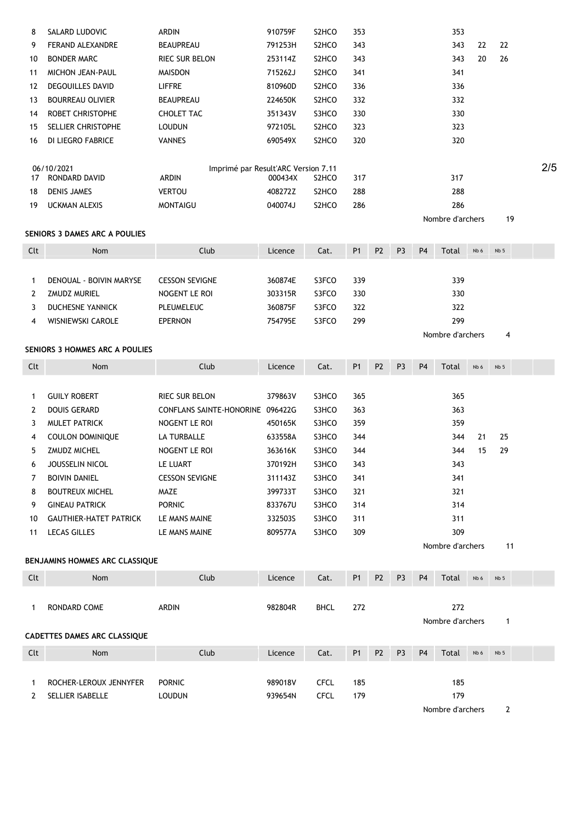| 8            | SALARD LUDOVIC                      | ARDIN                                        | 910759F | S <sub>2</sub> HCO | 353            |                |                |                | 353              |      |                 |     |
|--------------|-------------------------------------|----------------------------------------------|---------|--------------------|----------------|----------------|----------------|----------------|------------------|------|-----------------|-----|
| 9            | FERAND ALEXANDRE                    | <b>BEAUPREAU</b>                             | 791253H | S2HCO              | 343            |                |                |                | 343              | 22   | 22              |     |
| 10           | <b>BONDER MARC</b>                  | RIEC SUR BELON                               | 253114Z | S2HCO              | 343            |                |                |                | 343              | 20   | 26              |     |
| 11           | <b>MICHON JEAN-PAUL</b>             | <b>MAISDON</b>                               | 715262J | S2HCO              | 341            |                |                |                | 341              |      |                 |     |
| 12           | <b>DEGOUILLES DAVID</b>             | <b>LIFFRE</b>                                | 810960D | S2HCO              | 336            |                |                |                | 336              |      |                 |     |
| 13           | <b>BOURREAU OLIVIER</b>             | BEAUPREAU                                    | 224650K | S2HCO              | 332            |                |                |                | 332              |      |                 |     |
| 14           | ROBET CHRISTOPHE                    | <b>CHOLET TAC</b>                            | 351343V | S3HCO              | 330            |                |                |                | 330              |      |                 |     |
| 15           | SELLIER CHRISTOPHE                  | <b>LOUDUN</b>                                | 972105L | S <sub>2</sub> HCO | 323            |                |                |                | 323              |      |                 |     |
| 16           | DI LIEGRO FABRICE                   | <b>VANNES</b>                                | 690549X | S <sub>2</sub> HCO | 320            |                |                |                | 320              |      |                 |     |
|              |                                     |                                              |         |                    |                |                |                |                |                  |      |                 |     |
| 17           | 06/10/2021<br>RONDARD DAVID         | Imprimé par Result'ARC Version 7.11<br>ARDIN | 000434X | S <sub>2</sub> HCO | 317            |                |                |                | 317              |      |                 | 2/5 |
| 18           | <b>DENIS JAMES</b>                  | <b>VERTOU</b>                                | 408272Z | S2HCO              | 288            |                |                |                | 288              |      |                 |     |
| 19           | <b>UCKMAN ALEXIS</b>                | <b>MONTAIGU</b>                              | 040074J | S2HCO              | 286            |                |                |                | 286              |      |                 |     |
|              |                                     |                                              |         |                    |                |                |                |                | Nombre d'archers |      | 19              |     |
|              | SENIORS 3 DAMES ARC A POULIES       |                                              |         |                    |                |                |                |                |                  |      |                 |     |
| Clt          | Nom                                 | Club                                         | Licence | Cat.               | P <sub>1</sub> | P <sub>2</sub> | P <sub>3</sub> | P <sub>4</sub> | Total            | Nb 6 | Nb <sub>5</sub> |     |
|              |                                     |                                              |         |                    |                |                |                |                |                  |      |                 |     |
| $\mathbf{1}$ | DENOUAL - BOIVIN MARYSE             | <b>CESSON SEVIGNE</b>                        | 360874E | S3FCO              | 339            |                |                |                | 339              |      |                 |     |
| 2            | <b>ZMUDZ MURIEL</b>                 | NOGENT LE ROI                                | 303315R | S3FCO              | 330            |                |                |                | 330              |      |                 |     |
| 3            | <b>DUCHESNE YANNICK</b>             | PLEUMELEUC                                   | 360875F | S3FCO              | 322            |                |                |                | 322              |      |                 |     |
| 4            | WISNIEWSKI CAROLE                   | <b>EPERNON</b>                               | 754795E | S3FCO              | 299            |                |                |                | 299              |      |                 |     |
|              |                                     |                                              |         |                    |                |                |                |                | Nombre d'archers |      | 4               |     |
|              | SENIORS 3 HOMMES ARC A POULIES      |                                              |         |                    |                |                |                |                |                  |      |                 |     |
| Clt          | Nom                                 | Club                                         | Licence | Cat.               | P1             | P <sub>2</sub> | P <sub>3</sub> | P <sub>4</sub> | Total            | Nb 6 | Nb <sub>5</sub> |     |
|              |                                     |                                              |         |                    |                |                |                |                |                  |      |                 |     |
| $\mathbf{1}$ | <b>GUILY ROBERT</b>                 | RIEC SUR BELON                               | 379863V | S3HCO              | 365            |                |                |                | 365              |      |                 |     |
| 2            | <b>DOUIS GERARD</b>                 | CONFLANS SAINTE-HONORINE 096422G             |         | S3HCO              | 363            |                |                |                | 363              |      |                 |     |
| 3            | <b>MULET PATRICK</b>                | NOGENT LE ROI                                | 450165K | S3HCO              | 359            |                |                |                | 359              |      |                 |     |
| 4            | <b>COULON DOMINIQUE</b>             | LA TURBALLE                                  | 633558A | S3HCO              | 344            |                |                |                | 344              | 21   | 25              |     |
| 5            | ZMUDZ MICHEL                        | NOGENT LE ROI                                | 363616K | S3HCO              | 344            |                |                |                | 344              | 15   | 29              |     |
|              |                                     |                                              |         |                    |                |                |                |                |                  |      |                 |     |
| 6            | JOUSSELIN NICOL                     | LE LUART                                     | 370192H | S3HCO              | 343            |                |                |                | 343              |      |                 |     |
| 7            | <b>BOIVIN DANIEL</b>                | <b>CESSON SEVIGNE</b>                        | 311143Z | S3HCO              | 341            |                |                |                | 341              |      |                 |     |
| 8            | <b>BOUTREUX MICHEL</b>              | MAZE                                         | 399733T | S3HCO              | 321            |                |                |                | 321              |      |                 |     |
| 9            | <b>GINEAU PATRICK</b>               | <b>PORNIC</b>                                | 833767U | S3HCO              | 314            |                |                |                | 314              |      |                 |     |
| 10           | <b>GAUTHIER-HATET PATRICK</b>       | LE MANS MAINE                                | 332503S | S3HCO              | 311            |                |                |                | 311              |      |                 |     |
| 11           | <b>LECAS GILLES</b>                 | LE MANS MAINE                                | 809577A | S3HCO              | 309            |                |                |                | 309              |      |                 |     |
|              |                                     |                                              |         |                    |                |                |                |                | Nombre d'archers |      | 11              |     |
|              | BENJAMINS HOMMES ARC CLASSIQUE      |                                              |         |                    |                |                |                |                |                  |      |                 |     |
| Clt          | Nom                                 | Club                                         | Licence | Cat.               | P <sub>1</sub> | P <sub>2</sub> | P <sub>3</sub> | P <sub>4</sub> | Total            | Nb 6 | Nb <sub>5</sub> |     |
|              |                                     |                                              |         |                    |                |                |                |                |                  |      |                 |     |
| 1            | RONDARD COME                        | ARDIN                                        | 982804R | <b>BHCL</b>        | 272            |                |                |                | 272              |      |                 |     |
|              |                                     |                                              |         |                    |                |                |                |                | Nombre d'archers |      | $\mathbf{1}$    |     |
|              | <b>CADETTES DAMES ARC CLASSIQUE</b> |                                              |         |                    |                |                |                |                |                  |      |                 |     |
| Clt          | Nom                                 | Club                                         | Licence | Cat.               | <b>P1</b>      | P <sub>2</sub> | P <sub>3</sub> | P <sub>4</sub> | Total            | Nb 6 | Nb <sub>5</sub> |     |
|              |                                     |                                              |         |                    |                |                |                |                |                  |      |                 |     |
|              | ROCHER-LEROUX JENNYFER              | <b>PORNIC</b>                                | 989018V | <b>CFCL</b>        | 185            |                |                |                | 185              |      |                 |     |
| 1<br>2       | SELLIER ISABELLE                    | <b>LOUDUN</b>                                | 939654N | <b>CFCL</b>        | 179            |                |                |                | 179              |      |                 |     |
|              |                                     |                                              |         |                    |                |                |                |                | Nombre d'archers |      | $\overline{2}$  |     |
|              |                                     |                                              |         |                    |                |                |                |                |                  |      |                 |     |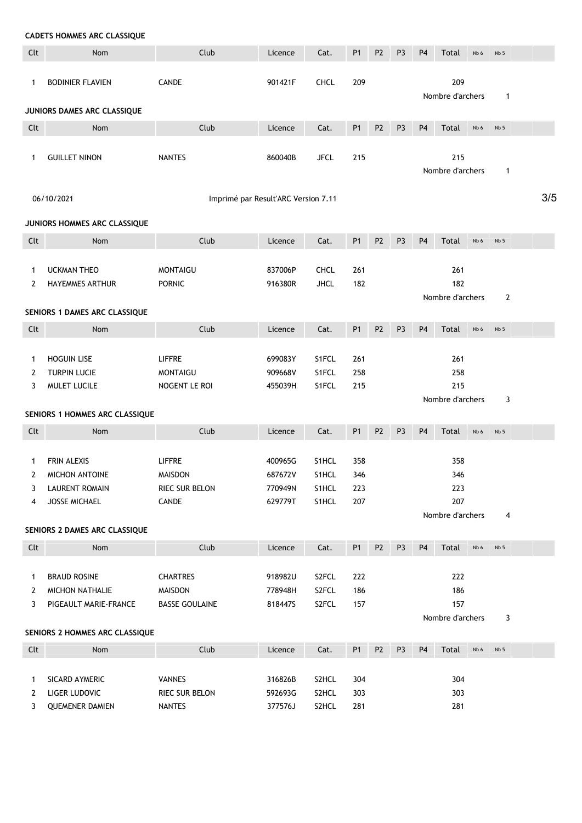| <b>CADETS HOMMES ARC CLASSIQUE</b> |  |  |
|------------------------------------|--|--|
|------------------------------------|--|--|

| Clt    | Nom                                         | Club                                | Licence            | Cat.           | P <sub>1</sub> | P <sub>2</sub> | P <sub>3</sub> | P <sub>4</sub> | Total                   | Nb 6 | Nb <sub>5</sub> |     |
|--------|---------------------------------------------|-------------------------------------|--------------------|----------------|----------------|----------------|----------------|----------------|-------------------------|------|-----------------|-----|
| 1      | <b>BODINIER FLAVIEN</b>                     | CANDE                               | 901421F            | <b>CHCL</b>    | 209            |                |                |                | 209                     |      |                 |     |
|        |                                             |                                     |                    |                |                |                |                |                | Nombre d'archers        |      | $\mathbf{1}$    |     |
|        | JUNIORS DAMES ARC CLASSIQUE                 |                                     |                    |                |                |                |                |                |                         |      |                 |     |
| Clt    | Nom                                         | Club                                | Licence            | Cat.           | P1             | P <sub>2</sub> | P <sub>3</sub> | P <sub>4</sub> | Total                   | Nb 6 | Nb <sub>5</sub> |     |
|        |                                             |                                     |                    |                |                |                |                |                |                         |      |                 |     |
| 1      | <b>GUILLET NINON</b>                        | <b>NANTES</b>                       | 860040B            | <b>JFCL</b>    | 215            |                |                |                | 215                     |      |                 |     |
|        |                                             |                                     |                    |                |                |                |                |                | Nombre d'archers        |      | $\mathbf{1}$    |     |
|        | 06/10/2021                                  | Imprimé par Result'ARC Version 7.11 |                    |                |                |                |                |                |                         |      |                 | 3/5 |
|        |                                             |                                     |                    |                |                |                |                |                |                         |      |                 |     |
|        | JUNIORS HOMMES ARC CLASSIQUE                |                                     |                    |                |                |                |                |                |                         |      |                 |     |
| Clt    | Nom                                         | Club                                | Licence            | Cat.           | P1             | P <sub>2</sub> | P <sub>3</sub> | P <sub>4</sub> | Total                   | Nb 6 | Nb <sub>5</sub> |     |
|        |                                             |                                     |                    |                |                |                |                |                |                         |      |                 |     |
| 1      | <b>UCKMAN THEO</b>                          | <b>MONTAIGU</b>                     | 837006P            | <b>CHCL</b>    | 261            |                |                |                | 261                     |      |                 |     |
| 2      | <b>HAYEMMES ARTHUR</b>                      | <b>PORNIC</b>                       | 916380R            | <b>JHCL</b>    | 182            |                |                |                | 182<br>Nombre d'archers |      | $\overline{2}$  |     |
|        | SENIORS 1 DAMES ARC CLASSIQUE               |                                     |                    |                |                |                |                |                |                         |      |                 |     |
| Clt    | <b>Nom</b>                                  | Club                                | Licence            | Cat.           | P <sub>1</sub> | P <sub>2</sub> | P <sub>3</sub> | P <sub>4</sub> | Total                   | Nb 6 | Nb 5            |     |
|        |                                             |                                     |                    |                |                |                |                |                |                         |      |                 |     |
| 1      | <b>HOGUIN LISE</b>                          | <b>LIFFRE</b>                       | 699083Y            | S1FCL          | 261            |                |                |                | 261                     |      |                 |     |
| 2      | <b>TURPIN LUCIE</b>                         | <b>MONTAIGU</b>                     | 909668V            | S1FCL          | 258            |                |                |                | 258                     |      |                 |     |
| 3      | MULET LUCILE                                | NOGENT LE ROI                       | 455039H            | S1FCL          | 215            |                |                |                | 215                     |      |                 |     |
|        |                                             |                                     |                    |                |                |                |                |                | Nombre d'archers        |      | 3               |     |
|        | SENIORS 1 HOMMES ARC CLASSIQUE              |                                     |                    |                |                |                |                |                |                         |      |                 |     |
| Clt    | Nom                                         | Club                                | Licence            | Cat.           | P1             | P <sub>2</sub> | P <sub>3</sub> | <b>P4</b>      | Total                   | Nb 6 | Nb <sub>5</sub> |     |
|        |                                             |                                     |                    |                |                |                |                |                |                         |      |                 |     |
| 1<br>2 | <b>FRIN ALEXIS</b><br><b>MICHON ANTOINE</b> | <b>LIFFRE</b><br><b>MAISDON</b>     | 400965G<br>687672V | S1HCL<br>S1HCL | 358<br>346     |                |                |                | 358<br>346              |      |                 |     |
| 3      | <b>LAURENT ROMAIN</b>                       | RIEC SUR BELON                      | 770949N            | S1HCL          | 223            |                |                |                | 223                     |      |                 |     |
| 4      | <b>JOSSE MICHAEL</b>                        | CANDE                               | 629779T            | S1HCL          | 207            |                |                |                | 207                     |      |                 |     |
|        |                                             |                                     |                    |                |                |                |                |                | Nombre d'archers        |      | 4               |     |
|        | SENIORS 2 DAMES ARC CLASSIQUE               |                                     |                    |                |                |                |                |                |                         |      |                 |     |
| Clt    | Nom                                         | Club                                | Licence            | Cat.           | P1             | P <sub>2</sub> | P <sub>3</sub> | P <sub>4</sub> | Total                   | Nb 6 | Nb 5            |     |
|        |                                             |                                     |                    |                |                |                |                |                |                         |      |                 |     |
| 1      | <b>BRAUD ROSINE</b>                         | <b>CHARTRES</b>                     | 918982U            | S2FCL          | 222            |                |                |                | 222                     |      |                 |     |
| 2      | MICHON NATHALIE                             | MAISDON                             | 778948H            | S2FCL          | 186            |                |                |                | 186                     |      |                 |     |
| 3      | PIGEAULT MARIE-FRANCE                       | <b>BASSE GOULAINE</b>               | 818447S            | S2FCL          | 157            |                |                |                | 157                     |      |                 |     |
|        | SENIORS 2 HOMMES ARC CLASSIQUE              |                                     |                    |                |                |                |                |                | Nombre d'archers        |      | 3               |     |
|        |                                             |                                     |                    |                |                |                |                |                |                         |      |                 |     |
| Clt    | Nom                                         | Club                                | Licence            | Cat.           | P1             | P <sub>2</sub> | P <sub>3</sub> | P <sub>4</sub> | Total                   | Nb 6 | Nb <sub>5</sub> |     |
| 1      | SICARD AYMERIC                              | VANNES                              | 316826B            | S2HCL          | 304            |                |                |                | 304                     |      |                 |     |
| 2      | LIGER LUDOVIC                               | RIEC SUR BELON                      | 592693G            | S2HCL          | 303            |                |                |                | 303                     |      |                 |     |
| 3      | <b>QUEMENER DAMIEN</b>                      | <b>NANTES</b>                       | 377576J            | S2HCL          | 281            |                |                |                | 281                     |      |                 |     |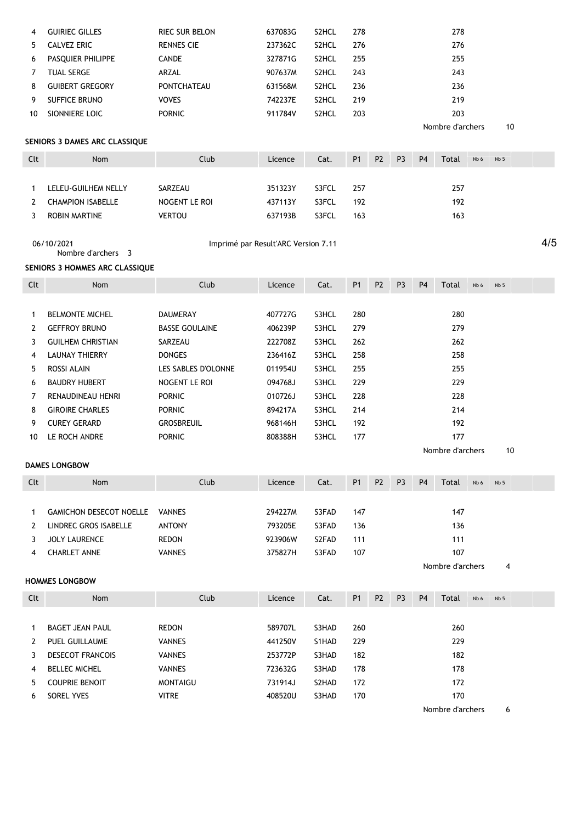| 4   | <b>GUIRIEC GILLES</b>            | RIEC SUR BELON                      | 637083G | S2HCL | 278            |                |                |                | 278              |      |                 |     |
|-----|----------------------------------|-------------------------------------|---------|-------|----------------|----------------|----------------|----------------|------------------|------|-----------------|-----|
| 5   | <b>CALVEZ ERIC</b>               | <b>RENNES CIE</b>                   | 237362C | S2HCL | 276            |                |                |                | 276              |      |                 |     |
| 6   | PASQUIER PHILIPPE                | CANDE                               | 327871G | S2HCL | 255            |                |                |                | 255              |      |                 |     |
| 7   | <b>TUAL SERGE</b>                | ARZAL                               | 907637M | S2HCL | 243            |                |                |                | 243              |      |                 |     |
| 8   | <b>GUIBERT GREGORY</b>           | <b>PONTCHATEAU</b>                  | 631568M | S2HCL | 236            |                |                |                | 236              |      |                 |     |
| 9   | SUFFICE BRUNO                    | <b>VOVES</b>                        | 742237E | S2HCL | 219            |                |                |                | 219              |      |                 |     |
| 10  | SIONNIERE LOIC                   | <b>PORNIC</b>                       | 911784V | S2HCL | 203            |                |                |                | 203              |      |                 |     |
|     |                                  |                                     |         |       |                |                |                |                | Nombre d'archers |      | 10              |     |
|     | SENIORS 3 DAMES ARC CLASSIQUE    |                                     |         |       |                |                |                |                |                  |      |                 |     |
| Clt | Nom                              | Club                                | Licence | Cat.  | P1             | P <sub>2</sub> | P <sub>3</sub> | P <sub>4</sub> | Total            | Nb 6 | Nb <sub>5</sub> |     |
|     |                                  |                                     |         |       |                |                |                |                |                  |      |                 |     |
| 1   | LELEU-GUILHEM NELLY              | SARZEAU                             | 351323Y | S3FCL | 257            |                |                |                | 257              |      |                 |     |
| 2   | <b>CHAMPION ISABELLE</b>         | NOGENT LE ROI                       | 437113Y | S3FCL | 192            |                |                |                | 192              |      |                 |     |
| 3   | ROBIN MARTINE                    | <b>VERTOU</b>                       | 637193B | S3FCL | 163            |                |                |                | 163              |      |                 |     |
|     | 06/10/2021<br>Nombre d'archers 3 | Imprimé par Result'ARC Version 7.11 |         |       |                |                |                |                |                  |      |                 | 4/5 |
|     | SENIORS 3 HOMMES ARC CLASSIQUE   |                                     |         |       |                |                |                |                |                  |      |                 |     |
| Clt | Nom                              | Club                                | Licence | Cat.  | P <sub>1</sub> | P <sub>2</sub> | P <sub>3</sub> | P <sub>4</sub> | Total            | Nb 6 | Nb <sub>5</sub> |     |
|     |                                  |                                     |         |       |                |                |                |                |                  |      |                 |     |
| 1   | <b>BELMONTE MICHEL</b>           | <b>DAUMERAY</b>                     | 407727G | S3HCL | 280            |                |                |                | 280              |      |                 |     |
| 2   | <b>GEFFROY BRUNO</b>             | <b>BASSE GOULAINE</b>               | 406239P | S3HCL | 279            |                |                |                | 279              |      |                 |     |
| 3   | <b>GUILHEM CHRISTIAN</b>         | SARZEAU                             | 222708Z | S3HCL | 262            |                |                |                | 262              |      |                 |     |
| 4   | <b>LAUNAY THIERRY</b>            | <b>DONGES</b>                       | 236416Z | S3HCL | 258            |                |                |                | 258              |      |                 |     |
| 5   | ROSSI ALAIN                      | LES SABLES D'OLONNE                 | 011954U | S3HCL | 255            |                |                |                | 255              |      |                 |     |
| 6   | <b>BAUDRY HUBERT</b>             | NOGENT LE ROI                       | 094768J | S3HCL | 229            |                |                |                | 229              |      |                 |     |
|     |                                  |                                     |         |       |                |                |                |                |                  |      |                 |     |
| 7   | RENAUDINEAU HENRI                | <b>PORNIC</b>                       | 010726J | S3HCL | 228            |                |                |                | 228              |      |                 |     |
| 8   | <b>GIROIRE CHARLES</b>           | <b>PORNIC</b>                       | 894217A | S3HCL | 214            |                |                |                | 214              |      |                 |     |
| 9   | <b>CUREY GERARD</b>              | <b>GROSBREUIL</b>                   | 968146H | S3HCL | 192            |                |                |                | 192              |      |                 |     |
| 10  | LE ROCH ANDRE                    | <b>PORNIC</b>                       | 808388H | S3HCL | 177            |                |                |                | 177              |      |                 |     |
|     | <b>DAMES LONGBOW</b>             |                                     |         |       |                |                |                |                | Nombre d'archers |      | 10              |     |
| Clt | Nom                              | Club                                | Licence | Cat.  | P <sub>1</sub> | P <sub>2</sub> | P <sub>3</sub> | P <sub>4</sub> | Total            | Nb 6 | Nb 5            |     |
|     |                                  |                                     |         |       |                |                |                |                |                  |      |                 |     |
| 1   | <b>GAMICHON DESECOT NOELLE</b>   | <b>VANNES</b>                       | 294227M | S3FAD | 147            |                |                |                | 147              |      |                 |     |
| 2   | LINDREC GROS ISABELLE            | <b>ANTONY</b>                       | 793205E | S3FAD | 136            |                |                |                | 136              |      |                 |     |
| 3   | <b>JOLY LAURENCE</b>             | <b>REDON</b>                        | 923906W | S2FAD | 111            |                |                |                | 111              |      |                 |     |
| 4   | <b>CHARLET ANNE</b>              | <b>VANNES</b>                       | 375827H | S3FAD | 107            |                |                |                | 107              |      |                 |     |
|     |                                  |                                     |         |       |                |                |                |                | Nombre d'archers |      | 4               |     |
|     | <b>HOMMES LONGBOW</b>            |                                     |         |       |                |                |                |                |                  |      |                 |     |
| Clt | Nom                              | Club                                | Licence | Cat.  | P1             | P <sub>2</sub> | P <sub>3</sub> | P <sub>4</sub> | Total            | Nb 6 | Nb <sub>5</sub> |     |
|     |                                  |                                     |         |       |                |                |                |                |                  |      |                 |     |
| 1   | <b>BAGET JEAN PAUL</b>           | <b>REDON</b>                        | 589707L | S3HAD | 260            |                |                |                | 260              |      |                 |     |
|     | PUEL GUILLAUME                   | <b>VANNES</b>                       | 441250V | S1HAD | 229            |                |                |                | 229              |      |                 |     |
| 2   |                                  |                                     |         |       |                |                |                |                |                  |      |                 |     |
| 3   | <b>DESECOT FRANCOIS</b>          | <b>VANNES</b>                       | 253772P | S3HAD | 182            |                |                |                | 182              |      |                 |     |
| 4   | <b>BELLEC MICHEL</b>             | <b>VANNES</b>                       | 723632G | S3HAD | 178            |                |                |                | 178              |      |                 |     |
| 5   | <b>COUPRIE BENOIT</b>            | <b>MONTAIGU</b>                     | 731914J | S2HAD | 172            |                |                |                | 172              |      |                 |     |
| 6   | SOREL YVES                       | <b>VITRE</b>                        | 408520U | S3HAD | 170            |                |                |                | 170              |      |                 |     |
|     |                                  |                                     |         |       |                |                |                |                | Nombre d'archers |      | 6               |     |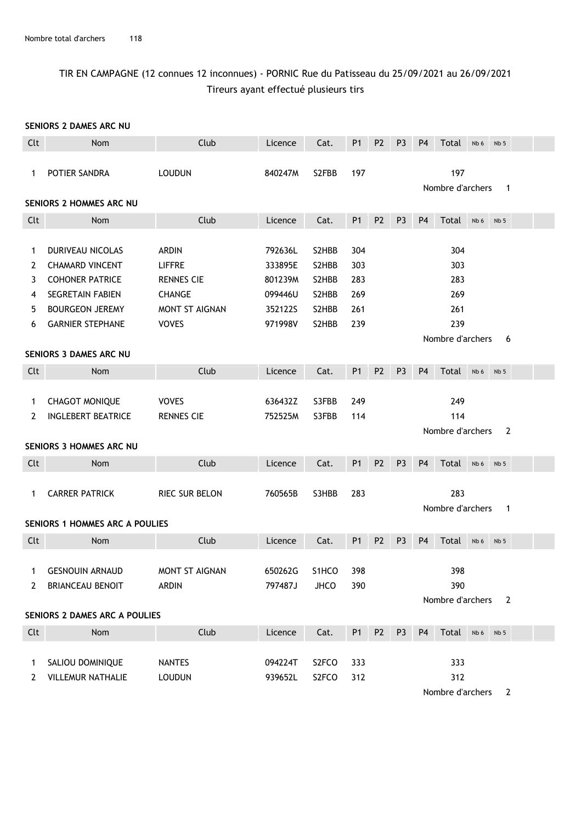## TIR EN CAMPAGNE (12 connues 12 inconnues) - PORNIC Rue du Patisseau du 25/09/2021 au 26/09/2021 Tireurs ayant effectué plusieurs tirs

#### SENIORS 2 DAMES ARC NU

| Clt                   | Nom                                                                                                                       | Club                                                                                  | Licence                                             | Cat.                                      | P <sub>1</sub>                  | P <sub>2</sub> | P <sub>3</sub> | P <sub>4</sub> | Total                           | Nb 6 | Nb <sub>5</sub> |  |
|-----------------------|---------------------------------------------------------------------------------------------------------------------------|---------------------------------------------------------------------------------------|-----------------------------------------------------|-------------------------------------------|---------------------------------|----------------|----------------|----------------|---------------------------------|------|-----------------|--|
| 1                     | POTIER SANDRA                                                                                                             | <b>LOUDUN</b>                                                                         | 840247M                                             | S2FBB                                     | 197                             |                |                |                | 197<br>Nombre d'archers         |      | 1               |  |
|                       | SENIORS 2 HOMMES ARC NU                                                                                                   |                                                                                       |                                                     |                                           |                                 |                |                |                |                                 |      |                 |  |
| Clt                   | Nom                                                                                                                       | Club                                                                                  | Licence                                             | Cat.                                      | P <sub>1</sub>                  | P <sub>2</sub> | P <sub>3</sub> | <b>P4</b>      | Total                           | Nb 6 | Nb <sub>5</sub> |  |
| 1<br>2<br>3<br>4<br>5 | DURIVEAU NICOLAS<br><b>CHAMARD VINCENT</b><br><b>COHONER PATRICE</b><br><b>SEGRETAIN FABIEN</b><br><b>BOURGEON JEREMY</b> | <b>ARDIN</b><br><b>LIFFRE</b><br><b>RENNES CIE</b><br><b>CHANGE</b><br>MONT ST AIGNAN | 792636L<br>333895E<br>801239M<br>099446U<br>352122S | S2HBB<br>S2HBB<br>S2HBB<br>S2HBB<br>S2HBB | 304<br>303<br>283<br>269<br>261 |                |                |                | 304<br>303<br>283<br>269<br>261 |      |                 |  |
| 6                     | <b>GARNIER STEPHANE</b>                                                                                                   | <b>VOVES</b>                                                                          | 971998V                                             | S2HBB                                     | 239                             |                |                |                | 239                             |      |                 |  |
|                       | SENIORS 3 DAMES ARC NU                                                                                                    |                                                                                       |                                                     |                                           |                                 |                |                |                | Nombre d'archers                |      | 6               |  |
| Clt                   | Nom                                                                                                                       | Club                                                                                  | Licence                                             | Cat.                                      | P <sub>1</sub>                  | P <sub>2</sub> | P <sub>3</sub> | P <sub>4</sub> | Total                           | Nb 6 | Nb <sub>5</sub> |  |
| 1<br>2                | <b>CHAGOT MONIQUE</b><br><b>INGLEBERT BEATRICE</b>                                                                        | <b>VOVES</b><br><b>RENNES CIE</b>                                                     | 636432Z<br>752525M                                  | S3FBB<br>S3FBB                            | 249<br>114                      |                |                |                | 249<br>114                      |      | $\overline{2}$  |  |
|                       | SENIORS 3 HOMMES ARC NU                                                                                                   |                                                                                       |                                                     |                                           |                                 |                |                |                | Nombre d'archers                |      |                 |  |
| Clt                   | Nom                                                                                                                       | Club                                                                                  | Licence                                             | Cat.                                      | P <sub>1</sub>                  | P <sub>2</sub> | P <sub>3</sub> | P <sub>4</sub> | Total                           | Nb 6 | Nb <sub>5</sub> |  |
| 1                     | <b>CARRER PATRICK</b>                                                                                                     | RIEC SUR BELON                                                                        | 760565B                                             | S3HBB                                     | 283                             |                |                |                | 283<br>Nombre d'archers         |      | $\mathbf{1}$    |  |
|                       | <b>SENIORS 1 HOMMES ARC A POULIES</b>                                                                                     |                                                                                       |                                                     |                                           |                                 |                |                |                |                                 |      |                 |  |
| Clt                   | Nom                                                                                                                       | Club                                                                                  | Licence                                             | Cat.                                      | P <sub>1</sub>                  | P <sub>2</sub> | P <sub>3</sub> | P <sub>4</sub> | Total                           | Nb 6 | Nb <sub>5</sub> |  |
| $\mathbf{1}$<br>2     | <b>GESNOUIN ARNAUD</b><br><b>BRIANCEAU BENOIT</b>                                                                         | MONT ST AIGNAN<br><b>ARDIN</b>                                                        | 650262G<br>797487J                                  | S <sub>1</sub> HCO<br>JHCO                | 398<br>390                      |                |                |                | 398<br>390<br>Nombre d'archers  |      | 2               |  |
|                       | SENIORS 2 DAMES ARC A POULIES                                                                                             |                                                                                       |                                                     |                                           |                                 |                |                |                |                                 |      |                 |  |
| Clt                   | Nom                                                                                                                       | Club                                                                                  | Licence                                             | Cat.                                      | P <sub>1</sub>                  | P <sub>2</sub> | P <sub>3</sub> | P <sub>4</sub> | Total                           | Nb 6 | Nb <sub>5</sub> |  |
| 1<br>2                | SALIOU DOMINIQUE<br><b>VILLEMUR NATHALIE</b>                                                                              | <b>NANTES</b><br><b>LOUDUN</b>                                                        | 094224T<br>939652L                                  | S2FCO<br>S2FCO                            | 333<br>312                      |                |                |                | 333<br>312                      |      |                 |  |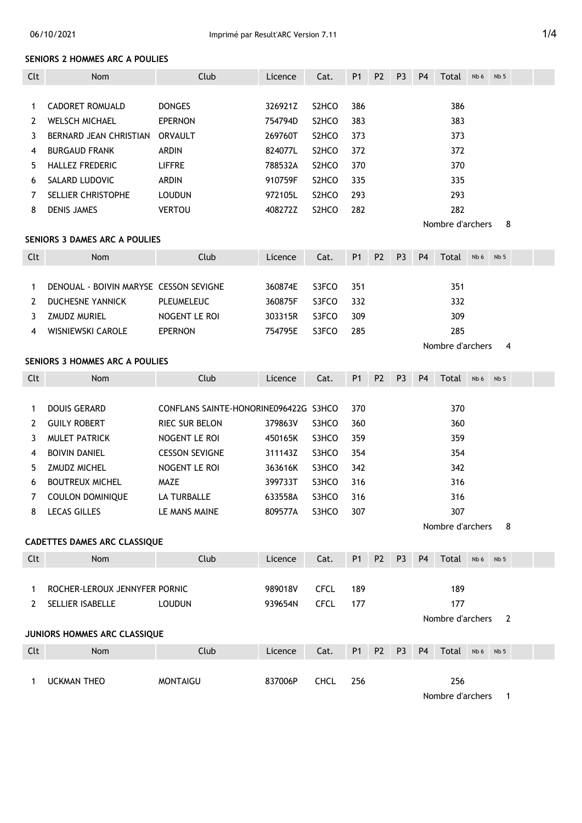#### 06/10/2021 Imprimé par Result'ARC Version 7.11 **1/4**

#### SENIORS 2 HOMMES ARC A POULIES

| Clt          | Nom                                    | Club                                  | Licence | Cat.               | P <sub>1</sub> | P <sub>2</sub> | P <sub>3</sub> | P <sub>4</sub> | Total            | Nb 6 | Nb <sub>5</sub> |  |
|--------------|----------------------------------------|---------------------------------------|---------|--------------------|----------------|----------------|----------------|----------------|------------------|------|-----------------|--|
|              |                                        |                                       |         |                    |                |                |                |                |                  |      |                 |  |
| 1            | CADORET ROMUALD                        | <b>DONGES</b>                         | 326921Z | S <sub>2</sub> HCO | 386            |                |                |                | 386              |      |                 |  |
| $\mathbf{2}$ | <b>WELSCH MICHAEL</b>                  | <b>EPERNON</b>                        | 754794D | S <sub>2</sub> HCO | 383            |                |                |                | 383              |      |                 |  |
| 3            | BERNARD JEAN CHRISTIAN                 | <b>ORVAULT</b>                        | 269760T | S2HCO              | 373            |                |                |                | 373              |      |                 |  |
| 4            | <b>BURGAUD FRANK</b>                   | ARDIN                                 | 824077L | S2HCO              | 372            |                |                |                | 372              |      |                 |  |
| 5            | HALLEZ FREDERIC                        | <b>LIFFRE</b>                         | 788532A | S <sub>2</sub> HCO | 370            |                |                |                | 370              |      |                 |  |
| 6            | SALARD LUDOVIC                         | <b>ARDIN</b>                          | 910759F | S2HCO              | 335            |                |                |                | 335              |      |                 |  |
| 7            | SELLIER CHRISTOPHE                     | <b>LOUDUN</b>                         | 972105L | S2HCO              | 293            |                |                |                | 293              |      |                 |  |
| 8            | <b>DENIS JAMES</b>                     | <b>VERTOU</b>                         | 408272Z | S2HCO              | 282            |                |                |                | 282              |      |                 |  |
|              |                                        |                                       |         |                    |                |                |                |                | Nombre d'archers |      | 8               |  |
|              | <b>SENIORS 3 DAMES ARC A POULIES</b>   |                                       |         |                    |                |                |                |                |                  |      |                 |  |
| Clt          | Nom                                    | Club                                  | Licence | Cat.               | P <sub>1</sub> | P <sub>2</sub> | P <sub>3</sub> | P <sub>4</sub> | Total            | Nb 6 | Nb <sub>5</sub> |  |
|              |                                        |                                       |         |                    |                |                |                |                |                  |      |                 |  |
| 1            | DENOUAL - BOIVIN MARYSE CESSON SEVIGNE |                                       | 360874E | S3FCO              | 351            |                |                |                | 351              |      |                 |  |
| 2            | <b>DUCHESNE YANNICK</b>                | <b>PLEUMELEUC</b>                     | 360875F | S3FCO              | 332            |                |                |                | 332              |      |                 |  |
| 3            | <b>ZMUDZ MURIEL</b>                    | NOGENT LE ROI                         | 303315R | S3FCO              | 309            |                |                |                | 309              |      |                 |  |
| 4            | WISNIEWSKI CAROLE                      | <b>EPERNON</b>                        | 754795E | S3FCO              | 285            |                |                |                | 285              |      |                 |  |
|              |                                        |                                       |         |                    |                |                |                |                | Nombre d'archers |      | 4               |  |
|              | <b>SENIORS 3 HOMMES ARC A POULIES</b>  |                                       |         |                    |                |                |                |                |                  |      |                 |  |
| Clt          | Nom                                    | Club                                  | Licence | Cat.               | P <sub>1</sub> | P <sub>2</sub> | P <sub>3</sub> | P <sub>4</sub> | Total            | Nb 6 | Nb <sub>5</sub> |  |
|              |                                        |                                       |         |                    |                |                |                |                |                  |      |                 |  |
| 1            | <b>DOUIS GERARD</b>                    | CONFLANS SAINTE-HONORINE096422G S3HCO |         |                    | 370            |                |                |                | 370              |      |                 |  |
| 2            | <b>GUILY ROBERT</b>                    | RIEC SUR BELON                        | 379863V | S3HCO              | 360            |                |                |                | 360              |      |                 |  |
| 3            | <b>MULET PATRICK</b>                   | NOGENT LE ROI                         | 450165K | S3HCO              | 359            |                |                |                | 359              |      |                 |  |
| 4            | <b>BOIVIN DANIEL</b>                   | <b>CESSON SEVIGNE</b>                 | 311143Z | S3HCO              | 354            |                |                |                | 354              |      |                 |  |
| 5            | ZMUDZ MICHEL                           | NOGENT LE ROI                         | 363616K | S3HCO              | 342            |                |                |                | 342              |      |                 |  |
| 6            | <b>BOUTREUX MICHEL</b>                 | MAZE                                  | 399733T | S3HCO              | 316            |                |                |                | 316              |      |                 |  |
| 7            | <b>COULON DOMINIQUE</b>                | LA TURBALLE                           | 633558A | S3HCO              | 316            |                |                |                | 316              |      |                 |  |
| 8            | <b>LECAS GILLES</b>                    | LE MANS MAINE                         | 809577A | S3HCO              | 307            |                |                |                | 307              |      |                 |  |
|              |                                        |                                       |         |                    |                |                |                |                | Nombre d'archers |      | 8               |  |
|              | CADETTES DAMES ARC CLASSIQUE           |                                       |         |                    |                |                |                |                |                  |      |                 |  |
| Clt          | Nom                                    | Club                                  | Licence | Cat.               | P <sub>1</sub> | P <sub>2</sub> | P <sub>3</sub> | P <sub>4</sub> | Total            | Nb 6 | Nb <sub>5</sub> |  |
|              |                                        |                                       |         |                    |                |                |                |                |                  |      |                 |  |
| 1            | ROCHER-LEROUX JENNYFER PORNIC          |                                       | 989018V | <b>CFCL</b>        | 189            |                |                |                | 189              |      |                 |  |
| 2            | SELLIER ISABELLE                       | <b>LOUDUN</b>                         | 939654N | <b>CFCL</b>        | 177            |                |                |                | 177              |      |                 |  |
|              |                                        |                                       |         |                    |                |                |                |                | Nombre d'archers |      | $\overline{2}$  |  |
|              | JUNIORS HOMMES ARC CLASSIQUE           |                                       |         |                    |                |                |                |                |                  |      |                 |  |
| Clt          | Nom                                    | Club                                  | Licence | Cat.               | P <sub>1</sub> | P <sub>2</sub> | P <sub>3</sub> | P <sub>4</sub> | Total            | Nb 6 | Nb <sub>5</sub> |  |
|              |                                        |                                       |         |                    |                |                |                |                |                  |      |                 |  |
| $\mathbf{1}$ | <b>UCKMAN THEO</b>                     | <b>MONTAIGU</b>                       | 837006P | CHCL               | 256            |                |                |                | 256              |      |                 |  |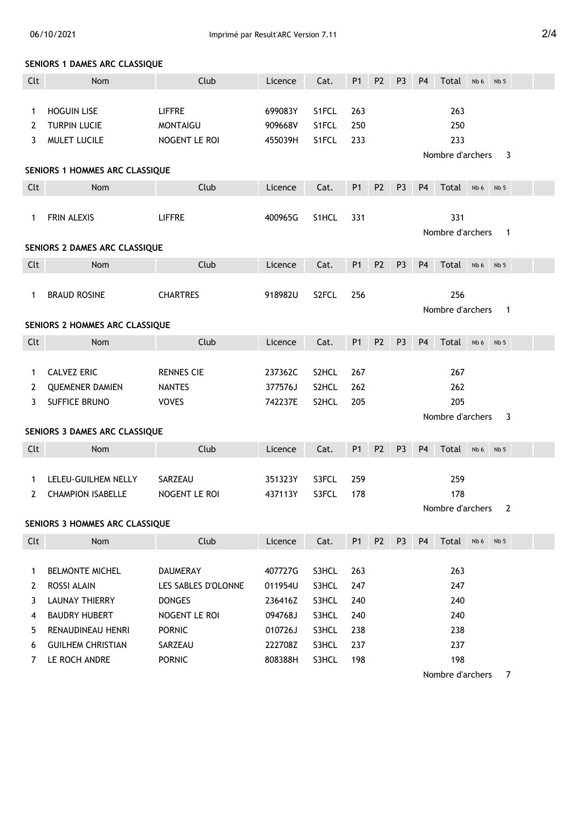#### SENIORS 1 DAMES ARC CLASSIQUE

| Clt | Nom                            | Club                | Licence | Cat.  | P <sub>1</sub> | P <sub>2</sub> | P <sub>3</sub> | P <sub>4</sub> | Total            | Nb 6 | Nb <sub>5</sub> |   |  |
|-----|--------------------------------|---------------------|---------|-------|----------------|----------------|----------------|----------------|------------------|------|-----------------|---|--|
|     |                                |                     |         |       |                |                |                |                |                  |      |                 |   |  |
| 1   | <b>HOGUIN LISE</b>             | <b>LIFFRE</b>       | 699083Y | S1FCL | 263            |                |                |                | 263              |      |                 |   |  |
| 2   | <b>TURPIN LUCIE</b>            | <b>MONTAIGU</b>     | 909668V | S1FCL | 250            |                |                |                | 250              |      |                 |   |  |
| 3   | MULET LUCILE                   | NOGENT LE ROI       | 455039H | S1FCL | 233            |                |                |                | 233              |      |                 |   |  |
|     |                                |                     |         |       |                |                |                |                | Nombre d'archers |      |                 | 3 |  |
|     | SENIORS 1 HOMMES ARC CLASSIQUE |                     |         |       |                |                |                |                |                  |      |                 |   |  |
| Clt | Nom                            | Club                | Licence | Cat.  | P1             | P <sub>2</sub> | P <sub>3</sub> | P <sub>4</sub> | Total            | Nb 6 | Nb <sub>5</sub> |   |  |
|     |                                |                     |         |       |                |                |                |                |                  |      |                 |   |  |
| 1   | FRIN ALEXIS                    | <b>LIFFRE</b>       | 400965G | S1HCL | 331            |                |                |                | 331              |      |                 |   |  |
|     |                                |                     |         |       |                |                |                |                | Nombre d'archers |      |                 | 1 |  |
|     | SENIORS 2 DAMES ARC CLASSIQUE  |                     |         |       |                |                |                |                |                  |      |                 |   |  |
| Clt | Nom                            | Club                | Licence | Cat.  | P1             | P <sub>2</sub> | P <sub>3</sub> | P <sub>4</sub> | Total            | Nb 6 | Nb <sub>5</sub> |   |  |
|     |                                |                     |         |       |                |                |                |                |                  |      |                 |   |  |
| 1   | <b>BRAUD ROSINE</b>            | <b>CHARTRES</b>     | 918982U | S2FCL | 256            |                |                |                | 256              |      |                 |   |  |
|     |                                |                     |         |       |                |                |                |                | Nombre d'archers |      |                 | 1 |  |
|     | SENIORS 2 HOMMES ARC CLASSIQUE |                     |         |       |                |                |                |                |                  |      |                 |   |  |
| Clt | Nom                            | Club                | Licence | Cat.  | P1             | P <sub>2</sub> | P <sub>3</sub> | P <sub>4</sub> | Total            | Nb 6 | Nb <sub>5</sub> |   |  |
|     |                                |                     |         |       |                |                |                |                |                  |      |                 |   |  |
| 1   | <b>CALVEZ ERIC</b>             | <b>RENNES CIE</b>   | 237362C | S2HCL | 267            |                |                |                | 267              |      |                 |   |  |
| 2   | <b>QUEMENER DAMIEN</b>         | <b>NANTES</b>       | 377576J | S2HCL | 262            |                |                |                | 262              |      |                 |   |  |
| 3   | SUFFICE BRUNO                  | <b>VOVES</b>        | 742237E | S2HCL | 205            |                |                |                | 205              |      |                 |   |  |
|     |                                |                     |         |       |                |                |                |                | Nombre d'archers |      |                 | 3 |  |
|     | SENIORS 3 DAMES ARC CLASSIQUE  |                     |         |       |                |                |                |                |                  |      |                 |   |  |
| Clt | Nom                            | Club                | Licence | Cat.  | P1             | <b>P2</b>      | P <sub>3</sub> | P <sub>4</sub> | Total            | Nb 6 | Nb <sub>5</sub> |   |  |
|     |                                |                     |         |       |                |                |                |                |                  |      |                 |   |  |
| 1   | LELEU-GUILHEM NELLY            | SARZEAU             | 351323Y | S3FCL | 259            |                |                |                | 259              |      |                 |   |  |
| 2   | <b>CHAMPION ISABELLE</b>       | NOGENT LE ROI       | 437113Y | S3FCL | 178            |                |                |                | 178              |      |                 |   |  |
|     |                                |                     |         |       |                |                |                |                | Nombre d'archers |      |                 | 2 |  |
|     | SENIORS 3 HOMMES ARC CLASSIQUE |                     |         |       |                |                |                |                |                  |      |                 |   |  |
| Clt | Nom                            | Club                | Licence | Cat.  | P1             | P <sub>2</sub> | P <sub>3</sub> | P <sub>4</sub> | Total            | Nb 6 | Nb <sub>5</sub> |   |  |
|     |                                |                     |         |       |                |                |                |                |                  |      |                 |   |  |
| 1   | <b>BELMONTE MICHEL</b>         | DAUMERAY            | 407727G | S3HCL | 263            |                |                |                | 263              |      |                 |   |  |
| 2   | ROSSI ALAIN                    | LES SABLES D'OLONNE | 011954U | S3HCL | 247            |                |                |                | 247              |      |                 |   |  |
| 3   | <b>LAUNAY THIERRY</b>          | <b>DONGES</b>       | 236416Z | S3HCL | 240            |                |                |                | 240              |      |                 |   |  |
| 4   | <b>BAUDRY HUBERT</b>           | NOGENT LE ROI       | 094768J | S3HCL | 240            |                |                |                | 240              |      |                 |   |  |
| 5.  | RENAUDINEAU HENRI              | <b>PORNIC</b>       | 010726J | S3HCL | 238            |                |                |                | 238              |      |                 |   |  |
| 6   | <b>GUILHEM CHRISTIAN</b>       | SARZEAU             | 222708Z | S3HCL | 237            |                |                |                | 237              |      |                 |   |  |
| 7   | LE ROCH ANDRE                  | <b>PORNIC</b>       | 808388H | S3HCL | 198            |                |                |                | 198              |      |                 |   |  |